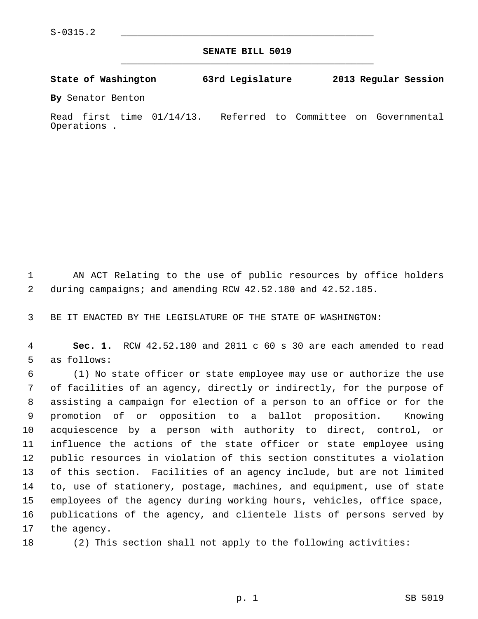**SENATE BILL 5019** \_\_\_\_\_\_\_\_\_\_\_\_\_\_\_\_\_\_\_\_\_\_\_\_\_\_\_\_\_\_\_\_\_\_\_\_\_\_\_\_\_\_\_\_\_

**State of Washington 63rd Legislature 2013 Regular Session**

**By** Senator Benton

Read first time 01/14/13. Referred to Committee on Governmental Operations .

 1 AN ACT Relating to the use of public resources by office holders 2 during campaigns; and amending RCW 42.52.180 and 42.52.185.

3 BE IT ENACTED BY THE LEGISLATURE OF THE STATE OF WASHINGTON:

 4 **Sec. 1.** RCW 42.52.180 and 2011 c 60 s 30 are each amended to read 5 as follows:

 6 (1) No state officer or state employee may use or authorize the use 7 of facilities of an agency, directly or indirectly, for the purpose of 8 assisting a campaign for election of a person to an office or for the 9 promotion of or opposition to a ballot proposition. Knowing 10 acquiescence by a person with authority to direct, control, or 11 influence the actions of the state officer or state employee using 12 public resources in violation of this section constitutes a violation 13 of this section. Facilities of an agency include, but are not limited 14 to, use of stationery, postage, machines, and equipment, use of state 15 employees of the agency during working hours, vehicles, office space, 16 publications of the agency, and clientele lists of persons served by 17 the agency.

18 (2) This section shall not apply to the following activities: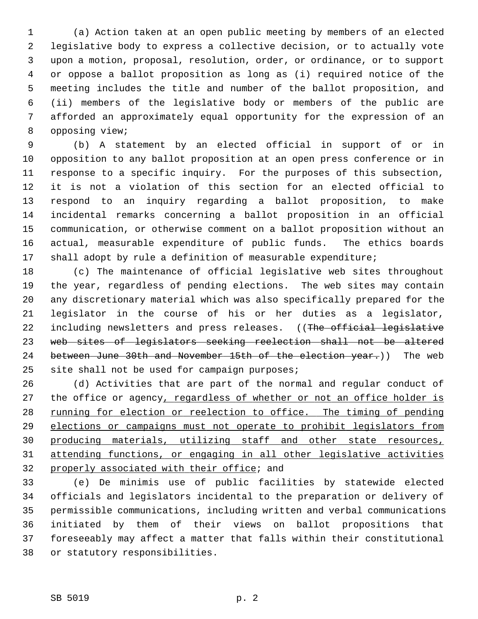1 (a) Action taken at an open public meeting by members of an elected 2 legislative body to express a collective decision, or to actually vote 3 upon a motion, proposal, resolution, order, or ordinance, or to support 4 or oppose a ballot proposition as long as (i) required notice of the 5 meeting includes the title and number of the ballot proposition, and 6 (ii) members of the legislative body or members of the public are 7 afforded an approximately equal opportunity for the expression of an 8 opposing view;

 9 (b) A statement by an elected official in support of or in 10 opposition to any ballot proposition at an open press conference or in 11 response to a specific inquiry. For the purposes of this subsection, 12 it is not a violation of this section for an elected official to 13 respond to an inquiry regarding a ballot proposition, to make 14 incidental remarks concerning a ballot proposition in an official 15 communication, or otherwise comment on a ballot proposition without an 16 actual, measurable expenditure of public funds. The ethics boards 17 shall adopt by rule a definition of measurable expenditure;

18 (c) The maintenance of official legislative web sites throughout 19 the year, regardless of pending elections. The web sites may contain 20 any discretionary material which was also specifically prepared for the 21 legislator in the course of his or her duties as a legislator, 22 including newsletters and press releases. ((The official legislative 23 web sites of legislators seeking reelection shall not be altered 24 between June 30th and November 15th of the election year.)) The web 25 site shall not be used for campaign purposes;

26 (d) Activities that are part of the normal and regular conduct of 27 the office or agency, regardless of whether or not an office holder is 28 running for election or reelection to office. The timing of pending 29 elections or campaigns must not operate to prohibit legislators from 30 producing materials, utilizing staff and other state resources, 31 attending functions, or engaging in all other legislative activities 32 properly associated with their office; and

33 (e) De minimis use of public facilities by statewide elected 34 officials and legislators incidental to the preparation or delivery of 35 permissible communications, including written and verbal communications 36 initiated by them of their views on ballot propositions that 37 foreseeably may affect a matter that falls within their constitutional 38 or statutory responsibilities.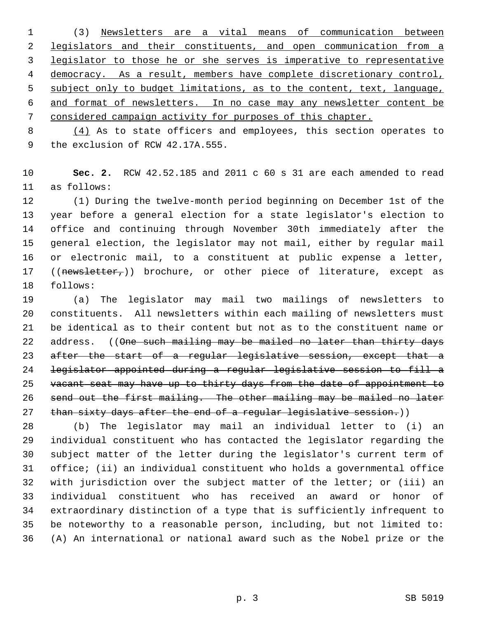1 (3) Newsletters are a vital means of communication between legislators and their constituents, and open communication from a legislator to those he or she serves is imperative to representative democracy. As a result, members have complete discretionary control, subject only to budget limitations, as to the content, text, language, and format of newsletters. In no case may any newsletter content be considered campaign activity for purposes of this chapter.

 8 (4) As to state officers and employees, this section operates to 9 the exclusion of RCW 42.17A.555.

10 **Sec. 2.** RCW 42.52.185 and 2011 c 60 s 31 are each amended to read 11 as follows:

12 (1) During the twelve-month period beginning on December 1st of the 13 year before a general election for a state legislator's election to 14 office and continuing through November 30th immediately after the 15 general election, the legislator may not mail, either by regular mail 16 or electronic mail, to a constituent at public expense a letter, 17 ((newsletter<sub>r</sub>)) brochure, or other piece of literature, except as 18 follows:

19 (a) The legislator may mail two mailings of newsletters to 20 constituents. All newsletters within each mailing of newsletters must 21 be identical as to their content but not as to the constituent name or 22 address. ((One such mailing may be mailed no later than thirty days 23 after the start of a regular legislative session, except that a 24 legislator appointed during a regular legislative session to fill a 25 vacant seat may have up to thirty days from the date of appointment to 26 send out the first mailing. The other mailing may be mailed no later 27 than sixty days after the end of a regular legislative session.))

28 (b) The legislator may mail an individual letter to (i) an 29 individual constituent who has contacted the legislator regarding the 30 subject matter of the letter during the legislator's current term of 31 office; (ii) an individual constituent who holds a governmental office 32 with jurisdiction over the subject matter of the letter; or (iii) an 33 individual constituent who has received an award or honor of 34 extraordinary distinction of a type that is sufficiently infrequent to 35 be noteworthy to a reasonable person, including, but not limited to: 36 (A) An international or national award such as the Nobel prize or the